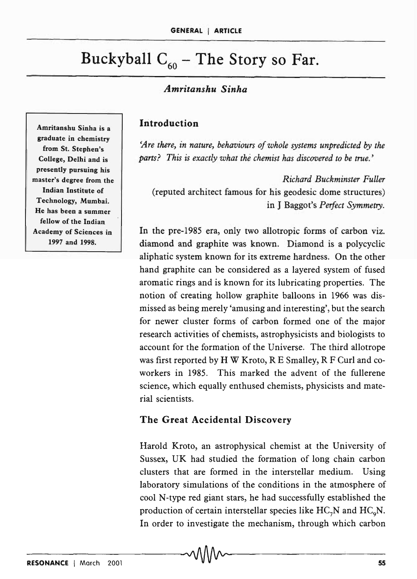# Buckyball  $C_{60}$  – The Story so Far.

### *Amritanshu Sinha*

Introduction

'Are there, in nature, behaviours of whole systems unpredicted by the *parts? This is exactly what the chemist has discovered to be true.'* 

*Richard Buckminster Fuller*  (reputed architect famous for his geodesic dome structures) in J Baggot's *Perfect Symmetry.* 

In the pre-1985 era, only two allotropic forms of carbon viz. diamond and graphite was known. Diamond is a polycyclic aliphatic system known for its extreme hardness. On the other hand graphite can be considered as a layered system of fused aromatic rings and is known for its lubricating properties. The notion of creating hollow graphite balloons in 1966 was dismissed as being merely 'amusing and interesting', but the search for newer cluster forms of carbon formed one of the major research activities of chemists, astrophysicists and biologists to account for the formation of the Universe. The third allotrope was first reported by H W Kroto, R E Smalley, R F Curl and coworkers in 1985. This marked the advent of the fullerene science, which equally enthused chemists, physicists and material scientists.

#### The Great Accidental Discovery

Harold Kroto, an astrophysical chemist at the University of Sussex, UK had studied the formation of long chain carbon clusters that are formed in the interstellar medium. Using laboratory simulations of the conditions in the atmosphere of cool N-type red giant stars, he had successfully established the production of certain interstellar species like  $HC_7N$  and  $HC_9N$ . In order to investigate the mechanism, through which carbon

Amritanshu Sinha is a graduate in chemistry from St. Stephen's College, Delhi and is presently pursuing his master's degree from the Indian Institute of Technology, Mumbai. He has been a summer fellow of the Indian Academy of Sciences in 1997 and 1998.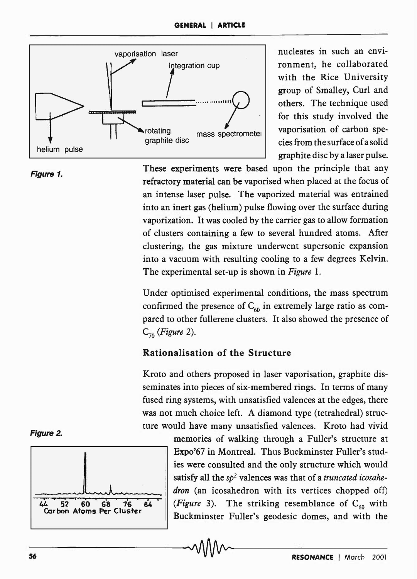

ronment, he collaborated with the Rice University group of Smalley, Curl and others. The technique used for this study involved the vaporisation of carbon species from the surface of a solid graphite disc by a laser pulse.

#### Figure 1.

These experiments were based upon the principle that any refractory material can be vaporised when placed at the focus of an intense laser pulse. The vaporized material was entrained into an inert gas (helium) pulse flowing over the surface during vaporization. It was cooled by the carrier gas to allow formation of clusters containing a few to several hundred atoms. After clustering, the gas mixture underwent supersonic expansion into a vacuum with resulting cooling to a few degrees Kelvin. The experimental set-up is shown in *Figure* 1.

Under optimised experimental conditions, the mass spectrum confirmed the presence of  $C_{60}$  in extremely large ratio as compared to other fullerene clusters. It also showed the presence of  $C_{70}$  *(Figure 2).* 

#### Rationalisation of the Structure

Kroto and others proposed in laser vaporisation, graphite disseminates into pieces of six-membered rings. In terms of many fused ring systems, with unsatisfied valences at the edges, there was not much choice left. A diamond type (tetrahedral) structure would have many unsatisfied valences. Kroto had vivid





memories of walking through a Fuller's structure at Expo'67 in Montreal. Thus Buckminster Fuller's studies were consulted and the only structure which would satisfy all the *Sp2* valences was that of a *truncated icosahe*dron (an icosahedron with its vertices chopped off) (Figure 3). The striking resemblance of  $C_{60}$  with  $\mathcal{L}$  52 60 68 76 84 (Figure 3). The striking resemblance of  $C_{60}$  with Carbon Atoms Per Cluster 10 Buckminster Fuller's geodesic domes, and with the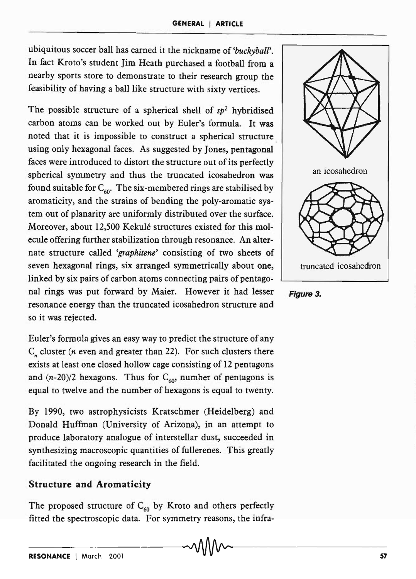ubiquitous soccer ball has earned it the nickname of *'buckyball'.*  In fact Kroto's student Jim Heath purchased a football from a nearby sports store to demonstrate to their research group the feasibility of having a ball like structure with sixty vertices.

The possible structure of a spherical shell of *Sp2* hybridised carbon atoms can be worked out by Euler's formula. It was noted that it is impossible to construct a spherical structure using only hexagonal faces. As suggested by Jones, pentagonal faces were introduced to distort the structure out of its perfectly spherical symmetry and thus the truncated icosahedron was found suitable for  $C_{60}$ . The six-membered rings are stabilised by aromaticity, and the strains of bending the poly-aromatic system out of planarity are uniformly distributed over the surface. Moreover, about 12,500 Kekulé structures existed for this molecule offering further stabilization through resonance. An alternate structure called *'graphitene'* consisting of two sheets of seven hexagonal rings, six arranged symmetrically about one, linked by six pairs of carbon atoms connecting pairs of pentagonal rings was put forward by Maier. However it had lesser resonance energy than the truncated icosahedron structure and so it was rejected.

Euler's formula gives an easy way to predict the structure of any  $C_n$  cluster (*n* even and greater than 22). For such clusters there exists at least one closed hollow cage consisting of 12 pentagons and  $(n-20)/2$  hexagons. Thus for  $C_{60}$ , number of pentagons is equal to twelve and the number of hexagons is equal to twenty.

By 1990, two astrophysicists Kratschmer (Heidelberg) and Donald Huffman (University of Arizona), in an attempt to produce laboratory analogue of interstellar dust, succeeded in synthesizing macroscopic quantities of fullerenes. This greatly facilitated the ongoing research in the field.

#### Structure and Aromaticity

The proposed structure of  $C_{60}$  by Kroto and others perfectly fitted the spectroscopic data. For symmetry reasons, the infra-



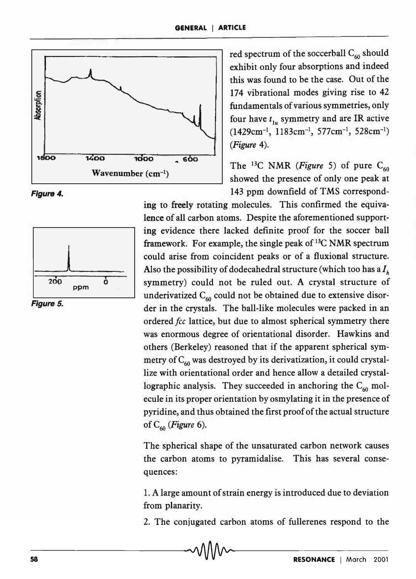





Figure 5.

red spectrum of the soccerball  $C_{60}$  should exhibit only four absorptions and indeed this was found to be the case. Out of the 174 vibrational modes giving rise to 42 fundamentals of various symmetries, only four have  $t_{1u}$  symmetry and are IR active  $(1429cm^{-1}, 1183cm^{-1}, 577cm^{-1}, 528cm^{-1})$ *(Figure 4).* 

The <sup>13</sup>C NMR *(Figure* 5) of pure  $C_{60}$ showed the presence of only one peak at 143 ppm downfield of TMS correspond-

ing to freely rotating molecules. This confirmed the equivalence of all carbon atoms. Despite the aforementioned supporting evidence there lacked definite proof for the soccer ball framework. For example, the single peak of  $^{13}C$  NMR spectrum could arise from coincident peaks or of a fluxional structure. Also the possibility of dodecahedral structure (which too has a  $I<sub>k</sub>$ symmetry) could not be ruled out. A crystal structure of underivatized  $C_{60}$  could not be obtained due to extensive disorder in the crystals. The ball-like molecules were packed in an ordered *fcc* lattice, but due to almost spherical symmetry there was enormous degree of orientational disorder. Hawkins and others (Berkeley) reasoned that if the apparent spherical symmetry of  $C_{60}$  was destroyed by its derivatization, it could crystallize with orientational order and hence allow a detailed crystallographic analysis. They succeeded in anchoring the  $C_{60}$  molecule in its proper orientation by osmylating it in the presence of pyridine, and thus obtained the first proof of the actual structure of C60 *(Figure 6).* 

The spherical shape of the unsaturated carbon network causes the carbon atoms to pyramidalise. This has several consequences:

1. A large amount of strain energy is introduced due to deviation from planarity.

2. The conjugated carbon atoms of fullerenes respond to the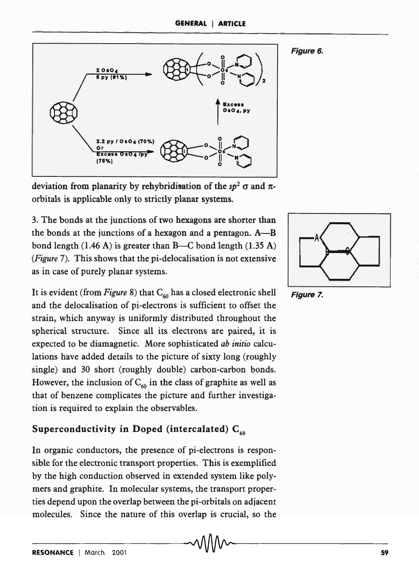



deviation from planarity by rehybridisation of the  $sp^2$   $\sigma$  and  $\pi$ orbitals is applicable only to strictly planar systems.

3. The bonds at the junctions of two hexagons are shorter than the bonds at the junctions of a hexagon and a pentagon.  $A$ —B bond length  $(1.46 \text{ A})$  is greater than B—C bond length  $(1.35 \text{ A})$ *(Figure* 7). This shows that the pi-delocalisation is not extensive as in case of purely planar systems.

It is evident (from *Figure 8*) that  $C_{60}$  has a closed electronic shell and the delocalisation of pi-electrons is sufficient to offset the strain, which anyway is uniformly distributed throughout the spherical structure. Since all its electrons are paired, it is expected to be diamagnetic. More sophisticated *ab initio* calculations have added details to the picture of sixty long (roughly single) and 30 short (roughly double) carbon-carbon bonds. However, the inclusion of  $C_{60}$  in the class of graphite as well as that of benzene complicates the picture and further investigation is required to explain the observables.

# Superconductivity in Doped (intercalated)  $C_{60}$

In organic conductors, the presence of pi-electrons is responsible for the electronic transport properties. This is exemplified by the high conduction observed in extended system like polymers and graphite. In molecular systems, the transport properties depend upon the overlap between the pi-orbitals on adjacent molecules. Since the nature of this overlap is crucial, so the



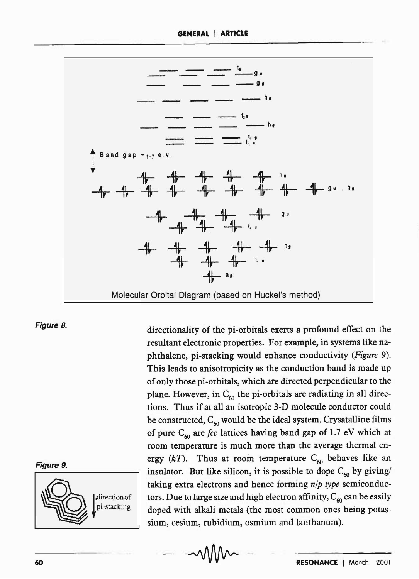

#### Figure 8.





directionality of the pi-orbitals exerts a profound effect on the resultant electronic properties. For example, in systems like naphthalene, pi-stacking would enhance conductivity *(Figure 9).*  This leads to anisotropicity as the conduction band is made up of only those pi-orbitals, which are directed perpendicular to the plane. However, in  $C_{60}$  the pi-orbitals are radiating in all directions. Thus if at all an isotropic 3-D molecule conductor could be constructed,  $C_{60}$  would be the ideal system. Crysatalline films of pure  $C_{60}$  are *fcc* lattices having band gap of 1.7 eV which at room temperature is much more than the average thermal energy  $(kT)$ . Thus at room temperature C<sub>60</sub> behaves like an insulator. But like silicon, it is possible to dope  $C_{60}$  by giving/ taking extra electrons and hence forming *nip type* semiconductors. Due to large size and high electron affinity,  $C_{60}$  can be easily doped with alkali metals (the most common ones being potassium, cesium, rubidium, osmium and lanthanum).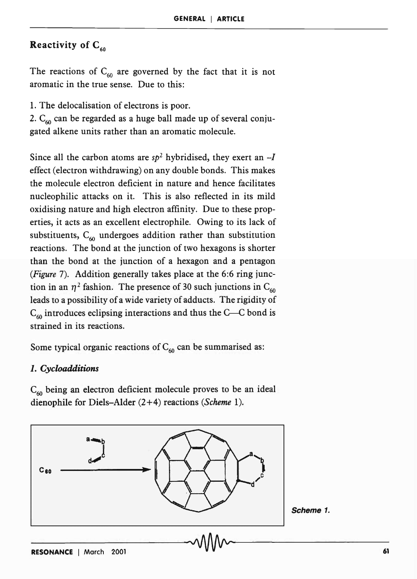# Reactivity of  $C_{60}$

The reactions of  $C_{60}$  are governed by the fact that it is not aromatic in the true sense. Due to this:

1. The delocalisation of electrons is poor.

2.  $C_{60}$  can be regarded as a huge ball made up of several conjugated alkene units rather than an aromatic molecule.

Since all the carbon atoms are  $sp^2$  hybridised, they exert an  $-I$ effect (electron withdrawing) on any double bonds. This makes the molecule electron deficient in nature and hence facilitates nucleophilic attacks on it. This is also reflected in its mild oxidising nature and high electron affinity. Due to these properties, it acts as an excellent electrophile. Owing to its lack of substituents,  $C_{60}$  undergoes addition rather than substitution reactions. The bond at the junction of two hexagons is shorter than the bond at the junction of a hexagon and a pentagon *(Figure* 7). Addition generally takes place at the 6:6 ring junction in an  $\eta^2$  fashion. The presence of 30 such junctions in C<sub>60</sub> leads to a possibility of a wide variety of adducts. The rigidity of  $C_{60}$  introduces eclipsing interactions and thus the C---C bond is strained in its reactions.

Some typical organic reactions of  $C_{60}$  can be summarised as:

#### *1. Cycloadditions*

 $C_{60}$  being an electron deficient molecule proves to be an ideal dienophile for Diels-Alder  $(2+4)$  reactions (Scheme 1).

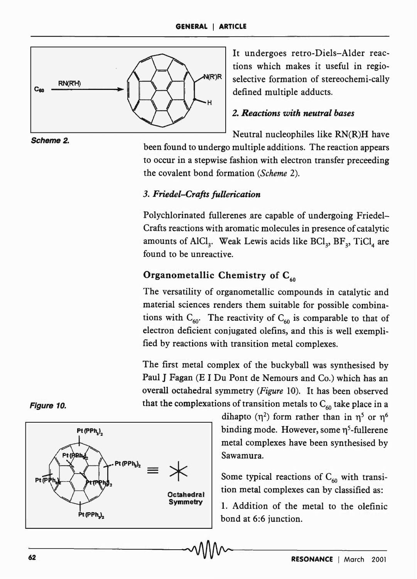

It undergoes retro-Diels-Alder reactions which makes it useful in regio- $\mathbb{R}^{\mathsf{R}}$  selective formation of stereochemi-cally defined multiple adducts.

### *2. Reactions with neutral bases*

Neutral nucleophiles like RN(R)H have

been found to undergo multiple additions. The reaction appears to occur in a stepwise fashion with electron transfer preceeding the covalent bond formation *(Scheme 2).* 

#### *3. Friedel-Crafts fullerication*

Polychlorinated fullerenes are capable of undergoing Friedel-Crafts reactions with aromatic molecules in presence of catalytic amounts of AlCl<sub>3</sub>. Weak Lewis acids like  $\mathrm{BCl}_{3}$ ,  $\mathrm{BF}_{3}$ ,  $\mathrm{TiCl}_{4}$  are found to be unreactive.

# Organometallic Chemistry of  $C_{60}$

The versatility of organometallic compounds in catalytic and material sciences renders them suitable for possible combinations with  $C_{60}$ . The reactivity of  $C_{60}$  is comparable to that of electron deficient conjugated olefins, and this is well exemplified by reactions with transition metal complexes.

The first metal complex of the buckyball was synthesised by Paul J Fagan (E I Du Pont de Nemours and Co.) which has an overall octahedral symmetry *(Figure* 10). It has been observed that the complexations of transition metals to  $C_{60}$  take place in a

> dihapto  $(\eta^2)$  form rather than in  $\eta^5$  or  $\eta^6$ binding mode. However, some  $\eta^5$ -fullerene metal complexes have been synthesised by Sawamura.

Some typical reactions of  $C_{60}$  with transition metal complexes can by classified as:

1. Addition of the metal to the olefinic bond at 6:6 junction.



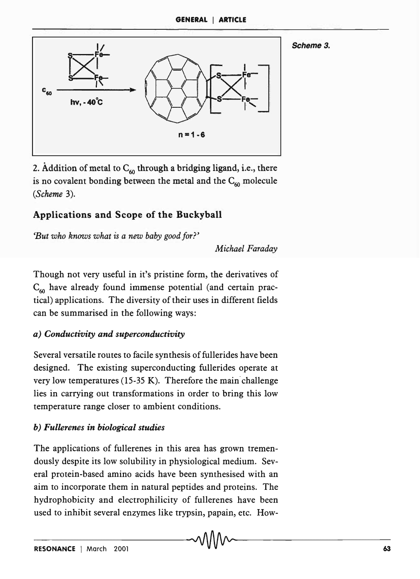

2. Addition of metal to  $C_{60}$  through a bridging ligand, i.e., there is no covalent bonding between the metal and the  $C_{60}$  molecule *(Scheme 3).* 

# Applications and Scope of the Buckyball

*'But who knows what is a new baby good for?'* 

*Michael Faraday* 

Scheme 3.

Though not very useful in it's pristine form, the derivatives of  $C_{60}$  have already found immense potential (and certain practical) applications. The diversity of their uses in different fields can be summarised in the following ways:

# *a) Conductivity and superconductivity*

Several versatile routes to facile synthesis of fullerides have been designed. The existing superconducting fullerides operate at very low temperatures  $(15-35 \text{ K})$ . Therefore the main challenge lies in carrying out transformations in order to bring this low temperature range closer to ambient conditions.

# *b) Fullerenes in biological studies*

The applications of fullerenes in this area has grown tremendously despite its low solubility in physiological medium. Several protein-based amino acids have been synthesised with an aim to incorporate them in natural peptides and proteins. The hydrophobicity and electrophilicity of fullerenes have been used to inhibit several enzymes like trypsin, papain, etc. How-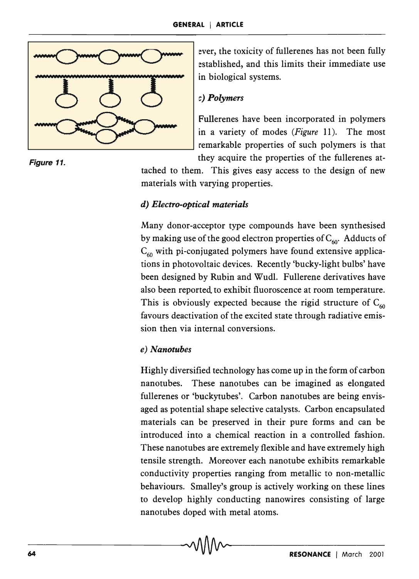

ever, the toxicity of fullerenes has not been fully established, and this limits their immediate use in biological systems.

Fullerenes have been incorporated in polymers in a variety of modes *(Figure* 11). The most remarkable properties of such polymers is that Figure 11. **Figure 11.** they acquire the properties of the fullerenes at-

tached to them. This gives easy access to the design of new materials with varying properties.

# *d) Electro-optical materials*

Many donor-acceptor type compounds have been synthesised by making use of the good electron properties of  $C_{60}$ . Adducts of  $C_{60}$  with pi-conjugated polymers have found extensive applications in photovoltaic devices. Recently 'bucky-light bulbs' have been designed by Rubin and Wudl. Fullerene derivatives have also been reported to exhibit fluoroscence at room temperature. This is obviously expected because the rigid structure of  $C_{60}$ favours deactivation of the excited state through radiative emission then via internal conversions.

# *e) Nanotubes*

Highly diversified technology has come up in the form of carbon nanotubes. These nanotubes can be imagined as elongated fullerenes or 'buckytubes'. Carbon nanotubes are being envisaged as potential shape selective catalysts. Carbon encapsulated materials can be preserved in their pure forms and can be introduced into a chemical reaction in a controlled fashion. These nanotubes are extremely flexible and have extremely high tensile strength. Moreover each nanotube exhibits remarkable conductivity properties ranging from metallic to non-metallic behaviours. Smalley's group is actively working on these lines to develop highly conducting nanowires consisting of large nanotubes doped with metal atoms.